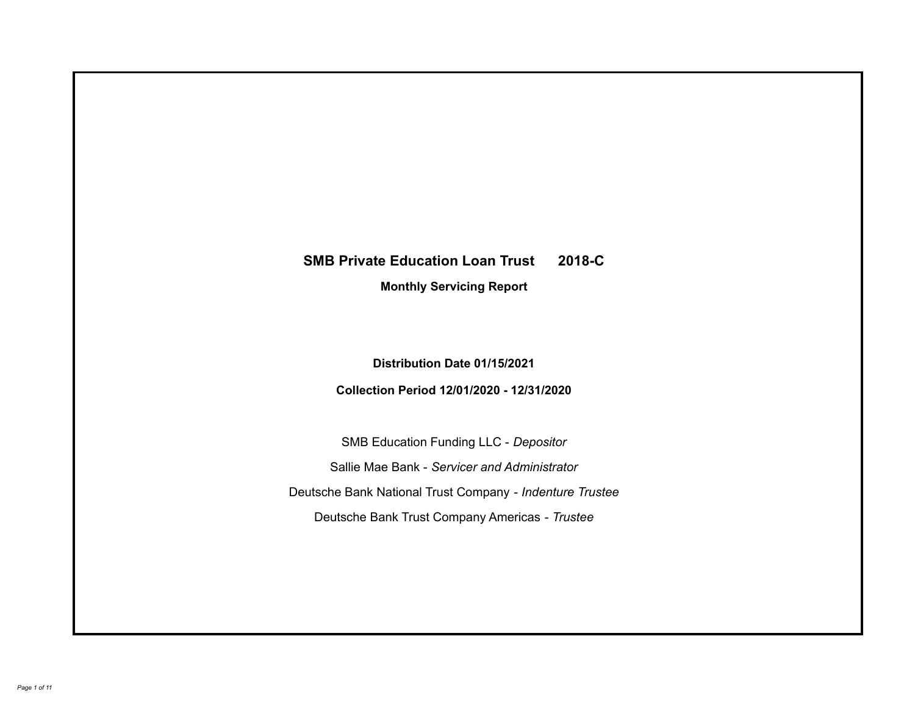# **SMB Private Education Loan Trust 2018-C Monthly Servicing Report**

**Distribution Date 01/15/2021**

**Collection Period 12/01/2020 - 12/31/2020**

SMB Education Funding LLC - *Depositor* Sallie Mae Bank - *Servicer and Administrator* Deutsche Bank National Trust Company - *Indenture Trustee* Deutsche Bank Trust Company Americas - *Trustee*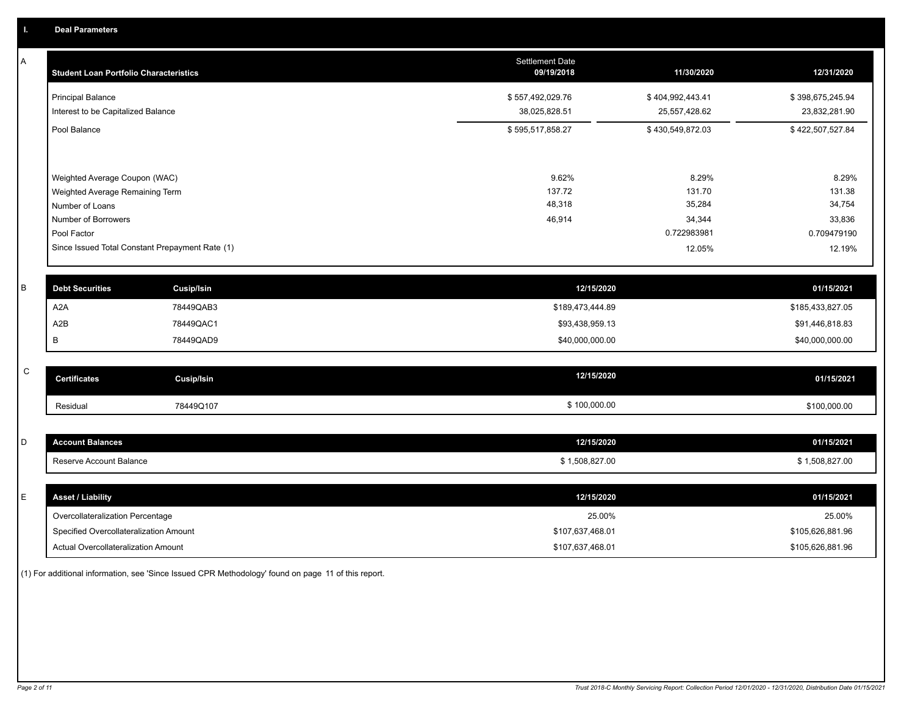| Α           | <b>Student Loan Portfolio Characteristics</b>      | Settlement Date<br>09/19/2018 | 11/30/2020       | 12/31/2020       |
|-------------|----------------------------------------------------|-------------------------------|------------------|------------------|
|             | <b>Principal Balance</b>                           | \$557,492,029.76              | \$404,992,443.41 | \$398,675,245.94 |
|             | Interest to be Capitalized Balance                 | 38,025,828.51                 | 25,557,428.62    | 23,832,281.90    |
|             | Pool Balance                                       | \$595,517,858.27              | \$430,549,872.03 | \$422,507,527.84 |
|             |                                                    |                               |                  |                  |
|             | Weighted Average Coupon (WAC)                      | 9.62%<br>137.72               | 8.29%<br>131.70  | 8.29%<br>131.38  |
|             | Weighted Average Remaining Term<br>Number of Loans | 48,318                        | 35,284           | 34,754           |
|             | Number of Borrowers                                | 46,914                        | 34,344           | 33,836           |
|             | Pool Factor                                        |                               | 0.722983981      | 0.709479190      |
|             | Since Issued Total Constant Prepayment Rate (1)    |                               | 12.05%           | 12.19%           |
| $\sf B$     | <b>Debt Securities</b><br>Cusip/Isin               | 12/15/2020                    |                  | 01/15/2021       |
|             | A <sub>2</sub> A<br>78449QAB3                      | \$189,473,444.89              |                  | \$185,433,827.05 |
|             | A2B<br>78449QAC1                                   | \$93,438,959.13               |                  | \$91,446,818.83  |
|             | В<br>78449QAD9                                     | \$40,000,000.00               |                  | \$40,000,000.00  |
| $\mathsf C$ |                                                    | 12/15/2020                    |                  |                  |
|             | <b>Certificates</b><br><b>Cusip/Isin</b>           |                               |                  | 01/15/2021       |
|             | 78449Q107<br>Residual                              | \$100,000.00                  |                  | \$100,000.00     |
| D           | <b>Account Balances</b>                            | 12/15/2020                    |                  | 01/15/2021       |
|             |                                                    |                               |                  |                  |
|             | Reserve Account Balance                            | \$1,508,827.00                |                  | \$1,508,827.00   |
| Е           | <b>Asset / Liability</b>                           | 12/15/2020                    |                  | 01/15/2021       |
|             | Overcollateralization Percentage                   | 25.00%                        |                  | 25.00%           |
|             | Specified Overcollateralization Amount             | \$107,637,468.01              |                  | \$105,626,881.96 |
|             | Actual Overcollateralization Amount                | \$107,637,468.01              |                  | \$105,626,881.96 |

(1) For additional information, see 'Since Issued CPR Methodology' found on page 11 of this report.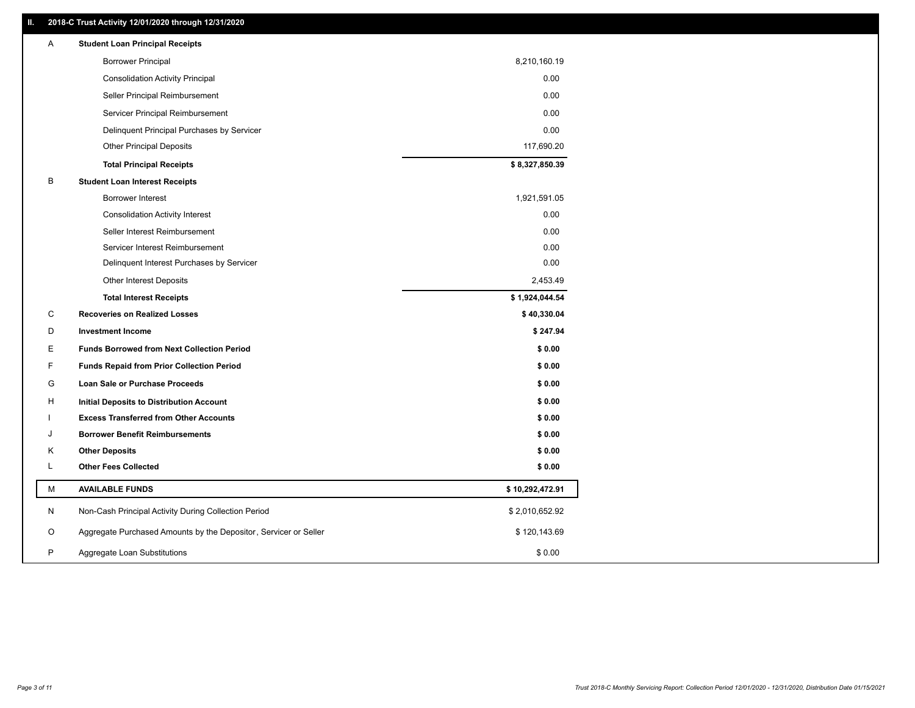# **II. 2018-C Trust Activity 12/01/2020 through 12/31/2020**

| Α  | <b>Student Loan Principal Receipts</b>                           |                 |
|----|------------------------------------------------------------------|-----------------|
|    | <b>Borrower Principal</b>                                        | 8,210,160.19    |
|    | <b>Consolidation Activity Principal</b>                          | 0.00            |
|    | Seller Principal Reimbursement                                   | 0.00            |
|    | Servicer Principal Reimbursement                                 | 0.00            |
|    | Delinquent Principal Purchases by Servicer                       | 0.00            |
|    | <b>Other Principal Deposits</b>                                  | 117,690.20      |
|    | <b>Total Principal Receipts</b>                                  | \$8,327,850.39  |
| В  | <b>Student Loan Interest Receipts</b>                            |                 |
|    | Borrower Interest                                                | 1,921,591.05    |
|    | <b>Consolidation Activity Interest</b>                           | 0.00            |
|    | Seller Interest Reimbursement                                    | 0.00            |
|    | Servicer Interest Reimbursement                                  | 0.00            |
|    | Delinquent Interest Purchases by Servicer                        | 0.00            |
|    | <b>Other Interest Deposits</b>                                   | 2,453.49        |
|    | <b>Total Interest Receipts</b>                                   | \$1,924,044.54  |
| C  | <b>Recoveries on Realized Losses</b>                             | \$40,330.04     |
| D  | <b>Investment Income</b>                                         | \$247.94        |
| Е  | <b>Funds Borrowed from Next Collection Period</b>                | \$0.00          |
| F. | <b>Funds Repaid from Prior Collection Period</b>                 | \$0.00          |
| G  | Loan Sale or Purchase Proceeds                                   | \$0.00          |
| н  | Initial Deposits to Distribution Account                         | \$0.00          |
|    | <b>Excess Transferred from Other Accounts</b>                    | \$0.00          |
| J  | <b>Borrower Benefit Reimbursements</b>                           | \$0.00          |
| Κ  | <b>Other Deposits</b>                                            | \$0.00          |
| L  | <b>Other Fees Collected</b>                                      | \$0.00          |
| М  | <b>AVAILABLE FUNDS</b>                                           | \$10,292,472.91 |
| N  | Non-Cash Principal Activity During Collection Period             | \$2,010,652.92  |
| O  | Aggregate Purchased Amounts by the Depositor, Servicer or Seller | \$120,143.69    |
| P  | Aggregate Loan Substitutions                                     | \$0.00          |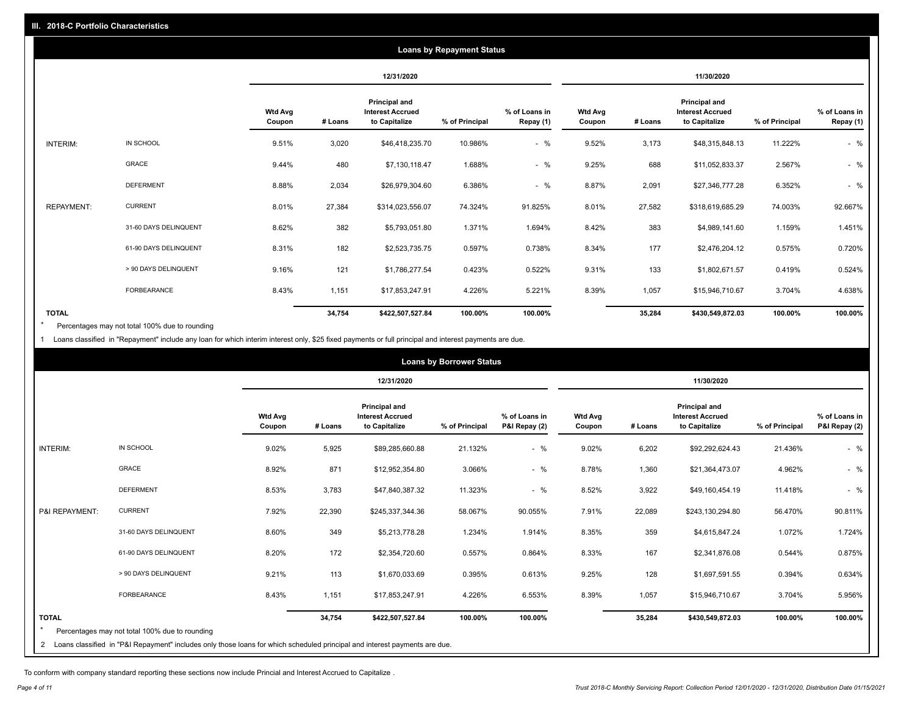|                   |                       |                          |         |                                                           | <b>Loans by Repayment Status</b> |                            |                          |         |                                                           |                |                            |
|-------------------|-----------------------|--------------------------|---------|-----------------------------------------------------------|----------------------------------|----------------------------|--------------------------|---------|-----------------------------------------------------------|----------------|----------------------------|
|                   |                       |                          |         | 12/31/2020                                                |                                  |                            |                          |         | 11/30/2020                                                |                |                            |
|                   |                       | <b>Wtd Avg</b><br>Coupon | # Loans | Principal and<br><b>Interest Accrued</b><br>to Capitalize | % of Principal                   | % of Loans in<br>Repay (1) | <b>Wtd Avg</b><br>Coupon | # Loans | Principal and<br><b>Interest Accrued</b><br>to Capitalize | % of Principal | % of Loans in<br>Repay (1) |
| INTERIM:          | IN SCHOOL             | 9.51%                    | 3,020   | \$46,418,235.70                                           | 10.986%                          | $-$ %                      | 9.52%                    | 3,173   | \$48,315,848.13                                           | 11.222%        | $-$ %                      |
|                   | GRACE                 | 9.44%                    | 480     | \$7,130,118.47                                            | 1.688%                           | $-$ %                      | 9.25%                    | 688     | \$11,052,833.37                                           | 2.567%         | $-$ %                      |
|                   | <b>DEFERMENT</b>      | 8.88%                    | 2,034   | \$26,979,304.60                                           | 6.386%                           | $-$ %                      | 8.87%                    | 2,091   | \$27,346,777.28                                           | 6.352%         | $-$ %                      |
| <b>REPAYMENT:</b> | <b>CURRENT</b>        | 8.01%                    | 27,384  | \$314,023,556.07                                          | 74.324%                          | 91.825%                    | 8.01%                    | 27,582  | \$318,619,685.29                                          | 74.003%        | 92.667%                    |
|                   | 31-60 DAYS DELINQUENT | 8.62%                    | 382     | \$5,793,051.80                                            | 1.371%                           | 1.694%                     | 8.42%                    | 383     | \$4,989,141.60                                            | 1.159%         | 1.451%                     |
|                   | 61-90 DAYS DELINQUENT | 8.31%                    | 182     | \$2,523,735.75                                            | 0.597%                           | 0.738%                     | 8.34%                    | 177     | \$2,476,204.12                                            | 0.575%         | 0.720%                     |
|                   | > 90 DAYS DELINQUENT  | 9.16%                    | 121     | \$1,786,277.54                                            | 0.423%                           | 0.522%                     | 9.31%                    | 133     | \$1,802,671.57                                            | 0.419%         | 0.524%                     |
|                   | FORBEARANCE           | 8.43%                    | 1,151   | \$17,853,247.91                                           | 4.226%                           | 5.221%                     | 8.39%                    | 1,057   | \$15,946,710.67                                           | 3.704%         | 4.638%                     |
| <b>TOTAL</b>      |                       |                          | 34,754  | \$422,507,527.84                                          | 100.00%                          | 100.00%                    |                          | 35,284  | \$430,549,872.03                                          | 100.00%        | 100.00%                    |

Percentages may not total 100% due to rounding \*

1 Loans classified in "Repayment" include any loan for which interim interest only, \$25 fixed payments or full principal and interest payments are due.

|                 |                                                                                                                            |                          |         |                                                                  | <b>Loans by Borrower Status</b> |                                |                          |         |                                                                  |                |                                |
|-----------------|----------------------------------------------------------------------------------------------------------------------------|--------------------------|---------|------------------------------------------------------------------|---------------------------------|--------------------------------|--------------------------|---------|------------------------------------------------------------------|----------------|--------------------------------|
|                 |                                                                                                                            |                          |         | 12/31/2020                                                       |                                 |                                |                          |         | 11/30/2020                                                       |                |                                |
|                 |                                                                                                                            | <b>Wtd Avg</b><br>Coupon | # Loans | <b>Principal and</b><br><b>Interest Accrued</b><br>to Capitalize | % of Principal                  | % of Loans in<br>P&I Repay (2) | <b>Wtd Avg</b><br>Coupon | # Loans | <b>Principal and</b><br><b>Interest Accrued</b><br>to Capitalize | % of Principal | % of Loans in<br>P&I Repay (2) |
| <b>INTERIM:</b> | IN SCHOOL                                                                                                                  | 9.02%                    | 5,925   | \$89,285,660.88                                                  | 21.132%                         | $-$ %                          | 9.02%                    | 6,202   | \$92,292,624.43                                                  | 21.436%        | $-$ %                          |
|                 | <b>GRACE</b>                                                                                                               | 8.92%                    | 871     | \$12,952,354.80                                                  | 3.066%                          | $-$ %                          | 8.78%                    | 1,360   | \$21,364,473.07                                                  | 4.962%         | $-$ %                          |
|                 | <b>DEFERMENT</b>                                                                                                           | 8.53%                    | 3,783   | \$47,840,387.32                                                  | 11.323%                         | $-$ %                          | 8.52%                    | 3,922   | \$49,160,454.19                                                  | 11.418%        | $-$ %                          |
| P&I REPAYMENT:  | <b>CURRENT</b>                                                                                                             | 7.92%                    | 22,390  | \$245,337,344.36                                                 | 58.067%                         | 90.055%                        | 7.91%                    | 22,089  | \$243,130,294.80                                                 | 56.470%        | 90.811%                        |
|                 | 31-60 DAYS DELINQUENT                                                                                                      | 8.60%                    | 349     | \$5,213,778.28                                                   | 1.234%                          | 1.914%                         | 8.35%                    | 359     | \$4,615,847.24                                                   | 1.072%         | 1.724%                         |
|                 | 61-90 DAYS DELINQUENT                                                                                                      | 8.20%                    | 172     | \$2,354,720.60                                                   | 0.557%                          | 0.864%                         | 8.33%                    | 167     | \$2,341,876.08                                                   | 0.544%         | 0.875%                         |
|                 | > 90 DAYS DELINQUENT                                                                                                       | 9.21%                    | 113     | \$1,670,033.69                                                   | 0.395%                          | 0.613%                         | 9.25%                    | 128     | \$1,697,591.55                                                   | 0.394%         | 0.634%                         |
|                 | <b>FORBEARANCE</b>                                                                                                         | 8.43%                    | 1,151   | \$17,853,247.91                                                  | 4.226%                          | 6.553%                         | 8.39%                    | 1,057   | \$15,946,710.67                                                  | 3.704%         | 5.956%                         |
| <b>TOTAL</b>    | Percentages may not total 100% due to rounding                                                                             |                          | 34,754  | \$422,507,527.84                                                 | 100.00%                         | 100.00%                        |                          | 35,284  | \$430,549,872.03                                                 | 100.00%        | 100.00%                        |
| 2               | Loans classified in "P&I Repayment" includes only those loans for which scheduled principal and interest payments are due. |                          |         |                                                                  |                                 |                                |                          |         |                                                                  |                |                                |

To conform with company standard reporting these sections now include Princial and Interest Accrued to Capitalize .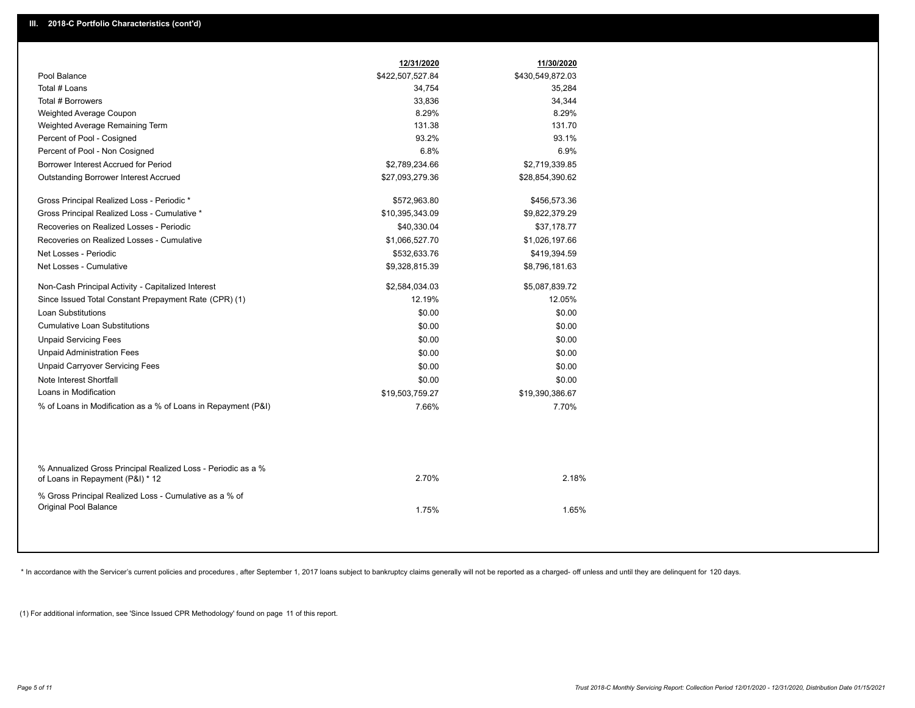| Pool Balance<br>\$422,507,527.84<br>Total # Loans<br>34,754<br>Total # Borrowers<br>33,836<br>8.29%<br>Weighted Average Coupon<br>131.38<br>Weighted Average Remaining Term<br>Percent of Pool - Cosigned<br>93.2%<br>Percent of Pool - Non Cosigned<br>6.8%<br>Borrower Interest Accrued for Period<br>\$2,789,234.66<br>Outstanding Borrower Interest Accrued<br>\$27,093,279.36<br>Gross Principal Realized Loss - Periodic *<br>\$572,963.80<br>Gross Principal Realized Loss - Cumulative *<br>\$10,395,343.09<br>Recoveries on Realized Losses - Periodic<br>\$40,330.04<br>Recoveries on Realized Losses - Cumulative<br>\$1,066,527.70<br>Net Losses - Periodic<br>\$532,633.76<br>Net Losses - Cumulative<br>\$9,328,815.39<br>Non-Cash Principal Activity - Capitalized Interest<br>\$2,584,034.03<br>Since Issued Total Constant Prepayment Rate (CPR) (1)<br>12.19%<br><b>Loan Substitutions</b><br>\$0.00<br><b>Cumulative Loan Substitutions</b><br>\$0.00<br><b>Unpaid Servicing Fees</b><br>\$0.00<br><b>Unpaid Administration Fees</b><br>\$0.00<br><b>Unpaid Carryover Servicing Fees</b><br>\$0.00<br>Note Interest Shortfall<br>\$0.00<br>Loans in Modification<br>\$19,503,759.27<br>% of Loans in Modification as a % of Loans in Repayment (P&I)<br>7.66%<br>% Annualized Gross Principal Realized Loss - Periodic as a %<br>2.70%<br>of Loans in Repayment (P&I) * 12 | 11/30/2020       |
|-----------------------------------------------------------------------------------------------------------------------------------------------------------------------------------------------------------------------------------------------------------------------------------------------------------------------------------------------------------------------------------------------------------------------------------------------------------------------------------------------------------------------------------------------------------------------------------------------------------------------------------------------------------------------------------------------------------------------------------------------------------------------------------------------------------------------------------------------------------------------------------------------------------------------------------------------------------------------------------------------------------------------------------------------------------------------------------------------------------------------------------------------------------------------------------------------------------------------------------------------------------------------------------------------------------------------------------------------------------------------------------------------|------------------|
|                                                                                                                                                                                                                                                                                                                                                                                                                                                                                                                                                                                                                                                                                                                                                                                                                                                                                                                                                                                                                                                                                                                                                                                                                                                                                                                                                                                               | \$430,549,872.03 |
|                                                                                                                                                                                                                                                                                                                                                                                                                                                                                                                                                                                                                                                                                                                                                                                                                                                                                                                                                                                                                                                                                                                                                                                                                                                                                                                                                                                               | 35,284           |
|                                                                                                                                                                                                                                                                                                                                                                                                                                                                                                                                                                                                                                                                                                                                                                                                                                                                                                                                                                                                                                                                                                                                                                                                                                                                                                                                                                                               | 34,344           |
|                                                                                                                                                                                                                                                                                                                                                                                                                                                                                                                                                                                                                                                                                                                                                                                                                                                                                                                                                                                                                                                                                                                                                                                                                                                                                                                                                                                               | 8.29%            |
|                                                                                                                                                                                                                                                                                                                                                                                                                                                                                                                                                                                                                                                                                                                                                                                                                                                                                                                                                                                                                                                                                                                                                                                                                                                                                                                                                                                               | 131.70           |
|                                                                                                                                                                                                                                                                                                                                                                                                                                                                                                                                                                                                                                                                                                                                                                                                                                                                                                                                                                                                                                                                                                                                                                                                                                                                                                                                                                                               | 93.1%            |
|                                                                                                                                                                                                                                                                                                                                                                                                                                                                                                                                                                                                                                                                                                                                                                                                                                                                                                                                                                                                                                                                                                                                                                                                                                                                                                                                                                                               | 6.9%             |
|                                                                                                                                                                                                                                                                                                                                                                                                                                                                                                                                                                                                                                                                                                                                                                                                                                                                                                                                                                                                                                                                                                                                                                                                                                                                                                                                                                                               | \$2,719,339.85   |
|                                                                                                                                                                                                                                                                                                                                                                                                                                                                                                                                                                                                                                                                                                                                                                                                                                                                                                                                                                                                                                                                                                                                                                                                                                                                                                                                                                                               | \$28,854,390.62  |
|                                                                                                                                                                                                                                                                                                                                                                                                                                                                                                                                                                                                                                                                                                                                                                                                                                                                                                                                                                                                                                                                                                                                                                                                                                                                                                                                                                                               | \$456,573.36     |
|                                                                                                                                                                                                                                                                                                                                                                                                                                                                                                                                                                                                                                                                                                                                                                                                                                                                                                                                                                                                                                                                                                                                                                                                                                                                                                                                                                                               | \$9,822,379.29   |
|                                                                                                                                                                                                                                                                                                                                                                                                                                                                                                                                                                                                                                                                                                                                                                                                                                                                                                                                                                                                                                                                                                                                                                                                                                                                                                                                                                                               | \$37,178.77      |
|                                                                                                                                                                                                                                                                                                                                                                                                                                                                                                                                                                                                                                                                                                                                                                                                                                                                                                                                                                                                                                                                                                                                                                                                                                                                                                                                                                                               | \$1,026,197.66   |
|                                                                                                                                                                                                                                                                                                                                                                                                                                                                                                                                                                                                                                                                                                                                                                                                                                                                                                                                                                                                                                                                                                                                                                                                                                                                                                                                                                                               | \$419,394.59     |
|                                                                                                                                                                                                                                                                                                                                                                                                                                                                                                                                                                                                                                                                                                                                                                                                                                                                                                                                                                                                                                                                                                                                                                                                                                                                                                                                                                                               | \$8,796,181.63   |
|                                                                                                                                                                                                                                                                                                                                                                                                                                                                                                                                                                                                                                                                                                                                                                                                                                                                                                                                                                                                                                                                                                                                                                                                                                                                                                                                                                                               | \$5,087,839.72   |
|                                                                                                                                                                                                                                                                                                                                                                                                                                                                                                                                                                                                                                                                                                                                                                                                                                                                                                                                                                                                                                                                                                                                                                                                                                                                                                                                                                                               | 12.05%           |
|                                                                                                                                                                                                                                                                                                                                                                                                                                                                                                                                                                                                                                                                                                                                                                                                                                                                                                                                                                                                                                                                                                                                                                                                                                                                                                                                                                                               | \$0.00           |
|                                                                                                                                                                                                                                                                                                                                                                                                                                                                                                                                                                                                                                                                                                                                                                                                                                                                                                                                                                                                                                                                                                                                                                                                                                                                                                                                                                                               | \$0.00           |
|                                                                                                                                                                                                                                                                                                                                                                                                                                                                                                                                                                                                                                                                                                                                                                                                                                                                                                                                                                                                                                                                                                                                                                                                                                                                                                                                                                                               | \$0.00           |
|                                                                                                                                                                                                                                                                                                                                                                                                                                                                                                                                                                                                                                                                                                                                                                                                                                                                                                                                                                                                                                                                                                                                                                                                                                                                                                                                                                                               | \$0.00           |
|                                                                                                                                                                                                                                                                                                                                                                                                                                                                                                                                                                                                                                                                                                                                                                                                                                                                                                                                                                                                                                                                                                                                                                                                                                                                                                                                                                                               | \$0.00           |
|                                                                                                                                                                                                                                                                                                                                                                                                                                                                                                                                                                                                                                                                                                                                                                                                                                                                                                                                                                                                                                                                                                                                                                                                                                                                                                                                                                                               | \$0.00           |
|                                                                                                                                                                                                                                                                                                                                                                                                                                                                                                                                                                                                                                                                                                                                                                                                                                                                                                                                                                                                                                                                                                                                                                                                                                                                                                                                                                                               | \$19,390,386.67  |
|                                                                                                                                                                                                                                                                                                                                                                                                                                                                                                                                                                                                                                                                                                                                                                                                                                                                                                                                                                                                                                                                                                                                                                                                                                                                                                                                                                                               | 7.70%            |
|                                                                                                                                                                                                                                                                                                                                                                                                                                                                                                                                                                                                                                                                                                                                                                                                                                                                                                                                                                                                                                                                                                                                                                                                                                                                                                                                                                                               |                  |
|                                                                                                                                                                                                                                                                                                                                                                                                                                                                                                                                                                                                                                                                                                                                                                                                                                                                                                                                                                                                                                                                                                                                                                                                                                                                                                                                                                                               | 2.18%            |
| % Gross Principal Realized Loss - Cumulative as a % of<br>Original Pool Balance<br>1.75%                                                                                                                                                                                                                                                                                                                                                                                                                                                                                                                                                                                                                                                                                                                                                                                                                                                                                                                                                                                                                                                                                                                                                                                                                                                                                                      | 1.65%            |

\* In accordance with the Servicer's current policies and procedures, after September 1, 2017 loans subject to bankruptcy claims generally will not be reported as a charged- off unless and until they are delinquent for 120

(1) For additional information, see 'Since Issued CPR Methodology' found on page 11 of this report.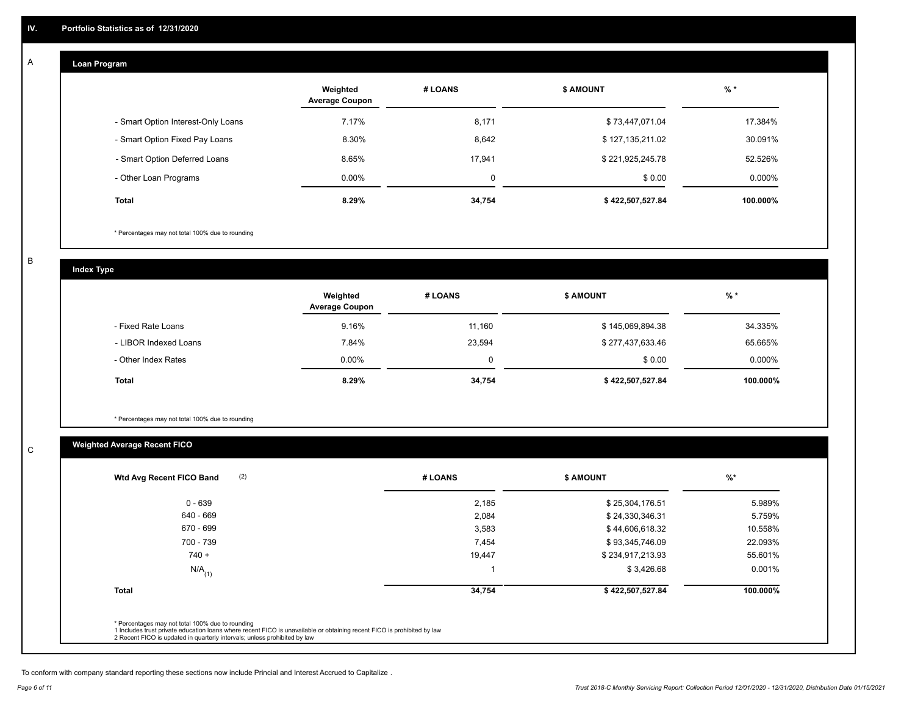#### **Loan Program**  A

|                                    | Weighted<br><b>Average Coupon</b> | # LOANS | <b>\$ AMOUNT</b> | $%$ *     |
|------------------------------------|-----------------------------------|---------|------------------|-----------|
| - Smart Option Interest-Only Loans | 7.17%                             | 8,171   | \$73,447,071.04  | 17.384%   |
| - Smart Option Fixed Pay Loans     | 8.30%                             | 8,642   | \$127,135,211.02 | 30.091%   |
| - Smart Option Deferred Loans      | 8.65%                             | 17.941  | \$221,925,245.78 | 52.526%   |
| - Other Loan Programs              | $0.00\%$                          | 0       | \$0.00           | $0.000\%$ |
| <b>Total</b>                       | 8.29%                             | 34,754  | \$422,507,527.84 | 100.000%  |

\* Percentages may not total 100% due to rounding

B

C

**Index Type**

|                       | Weighted<br><b>Average Coupon</b> | # LOANS | <b>\$ AMOUNT</b> | % *       |
|-----------------------|-----------------------------------|---------|------------------|-----------|
| - Fixed Rate Loans    | 9.16%                             | 11.160  | \$145,069,894.38 | 34.335%   |
| - LIBOR Indexed Loans | 7.84%                             | 23,594  | \$277,437,633.46 | 65.665%   |
| - Other Index Rates   | $0.00\%$                          | 0       | \$0.00           | $0.000\%$ |
| <b>Total</b>          | 8.29%                             | 34,754  | \$422,507,527.84 | 100.000%  |

\* Percentages may not total 100% due to rounding

# **Weighted Average Recent FICO**

| $0 - 639$            | 2,185  | \$25,304,176.51  | 5.989%   |
|----------------------|--------|------------------|----------|
| 640 - 669            | 2,084  | \$24,330,346.31  | 5.759%   |
| 670 - 699            | 3,583  | \$44,606,618.32  | 10.558%  |
| 700 - 739            | 7,454  | \$93,345,746.09  | 22.093%  |
| $740 +$              | 19,447 | \$234,917,213.93 | 55.601%  |
| $N/A$ <sub>(1)</sub> |        | \$3,426.68       | 0.001%   |
| <b>Total</b>         | 34,754 | \$422,507,527.84 | 100.000% |
|                      |        |                  |          |

To conform with company standard reporting these sections now include Princial and Interest Accrued to Capitalize .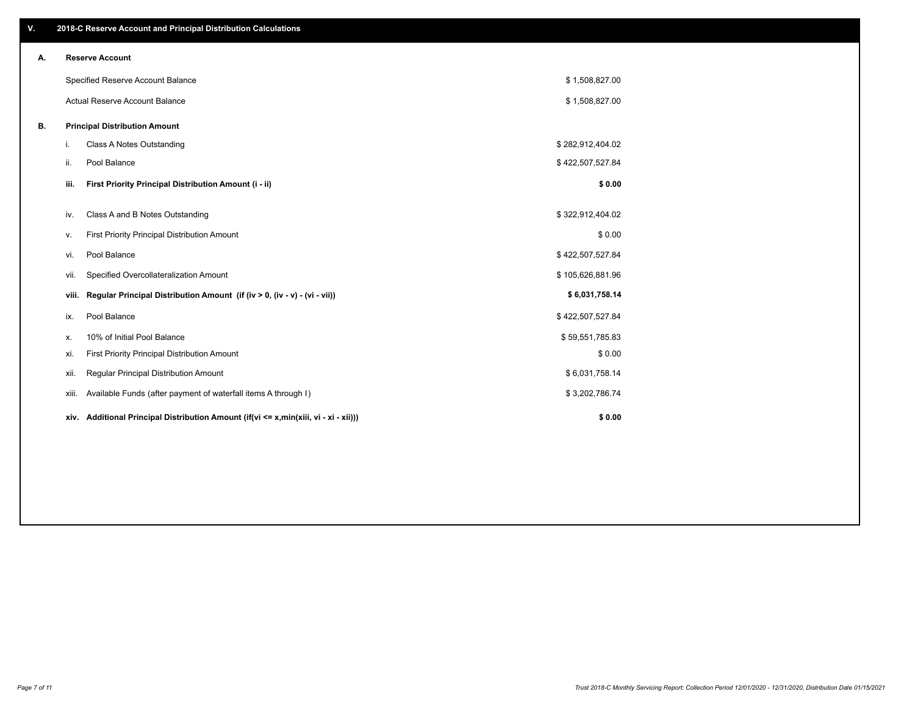| V. | 2018-C Reserve Account and Principal Distribution Calculations                       |                  |  |
|----|--------------------------------------------------------------------------------------|------------------|--|
| Α. | <b>Reserve Account</b>                                                               |                  |  |
|    | Specified Reserve Account Balance                                                    | \$1,508,827.00   |  |
|    | Actual Reserve Account Balance                                                       | \$1,508,827.00   |  |
| В. | <b>Principal Distribution Amount</b>                                                 |                  |  |
|    | Class A Notes Outstanding<br>i.                                                      | \$282,912,404.02 |  |
|    | ii.<br>Pool Balance                                                                  | \$422,507,527.84 |  |
|    | First Priority Principal Distribution Amount (i - ii)<br>iii.                        | \$0.00           |  |
|    | Class A and B Notes Outstanding<br>iv.                                               | \$322,912,404.02 |  |
|    | First Priority Principal Distribution Amount<br>ν.                                   | \$0.00           |  |
|    | Pool Balance<br>vi.                                                                  | \$422,507,527.84 |  |
|    | Specified Overcollateralization Amount<br>Vii.                                       | \$105,626,881.96 |  |
|    | Regular Principal Distribution Amount (if (iv > 0, (iv - v) - (vi - vii))<br>viii.   | \$6,031,758.14   |  |
|    | Pool Balance<br>ix.                                                                  | \$422,507,527.84 |  |
|    | 10% of Initial Pool Balance<br>х.                                                    | \$59,551,785.83  |  |
|    | First Priority Principal Distribution Amount<br>xi.                                  | \$0.00           |  |
|    | Regular Principal Distribution Amount<br>xii.                                        | \$6,031,758.14   |  |
|    | Available Funds (after payment of waterfall items A through I)<br>xiii.              | \$3,202,786.74   |  |
|    | xiv. Additional Principal Distribution Amount (if(vi <= x,min(xiii, vi - xi - xii))) | \$0.00           |  |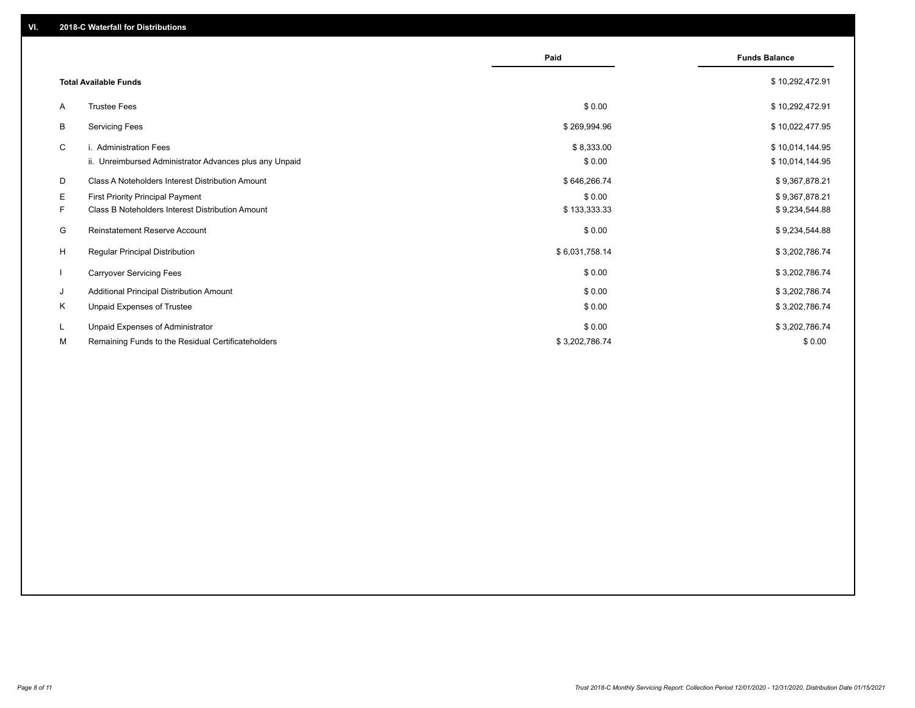|   |                                                         | Paid           | <b>Funds Balance</b> |
|---|---------------------------------------------------------|----------------|----------------------|
|   | <b>Total Available Funds</b>                            |                | \$10,292,472.91      |
| A | <b>Trustee Fees</b>                                     | \$0.00         | \$10,292,472.91      |
| B | <b>Servicing Fees</b>                                   | \$269,994.96   | \$10,022,477.95      |
| C | i. Administration Fees                                  | \$8,333.00     | \$10,014,144.95      |
|   | ii. Unreimbursed Administrator Advances plus any Unpaid | \$0.00         | \$10,014,144.95      |
| D | Class A Noteholders Interest Distribution Amount        | \$646,266.74   | \$9,367,878.21       |
| E | First Priority Principal Payment                        | \$0.00         | \$9,367,878.21       |
| F | <b>Class B Noteholders Interest Distribution Amount</b> | \$133,333.33   | \$9,234,544.88       |
| G | Reinstatement Reserve Account                           | \$0.00         | \$9,234,544.88       |
| H | Regular Principal Distribution                          | \$6,031,758.14 | \$3,202,786.74       |
|   | <b>Carryover Servicing Fees</b>                         | \$0.00         | \$3,202,786.74       |
| J | Additional Principal Distribution Amount                | \$0.00         | \$3,202,786.74       |
| K | Unpaid Expenses of Trustee                              | \$0.00         | \$3,202,786.74       |
| L | Unpaid Expenses of Administrator                        | \$0.00         | \$3,202,786.74       |
| м | Remaining Funds to the Residual Certificateholders      | \$3,202,786.74 | \$0.00               |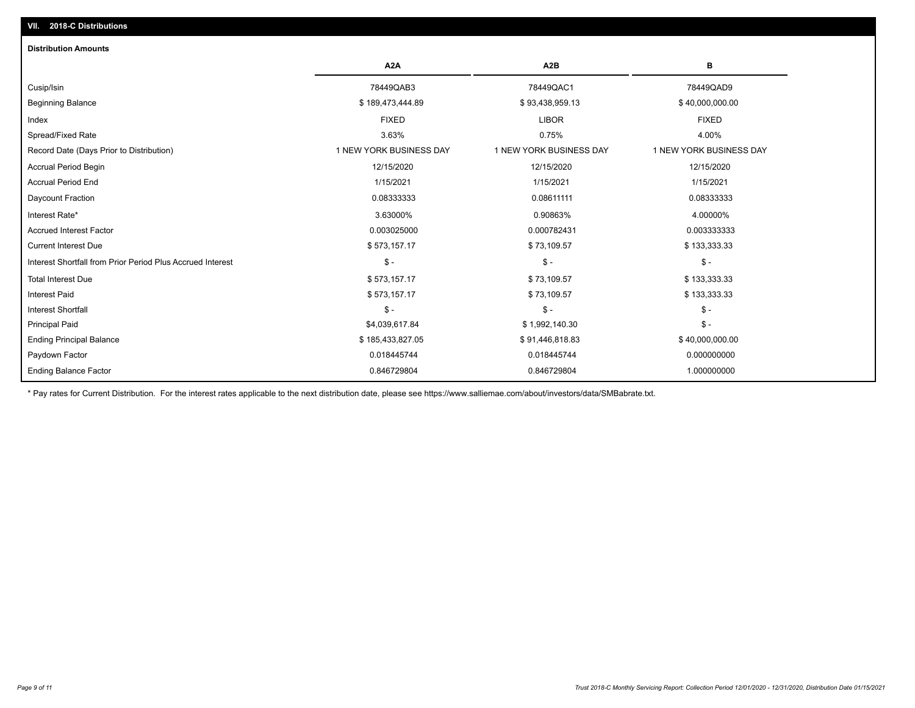| A <sub>2</sub> A        | A <sub>2</sub> B        | В                       |
|-------------------------|-------------------------|-------------------------|
| 78449QAB3               | 78449QAC1               | 78449QAD9               |
| \$189,473,444.89        | \$93,438,959.13         | \$40,000,000.00         |
| <b>FIXED</b>            | <b>LIBOR</b>            | <b>FIXED</b>            |
| 3.63%                   | 0.75%                   | 4.00%                   |
| 1 NEW YORK BUSINESS DAY | 1 NEW YORK BUSINESS DAY | 1 NEW YORK BUSINESS DAY |
| 12/15/2020              | 12/15/2020              | 12/15/2020              |
| 1/15/2021               | 1/15/2021               | 1/15/2021               |
| 0.08333333              | 0.08611111              | 0.08333333              |
| 3.63000%                | 0.90863%                | 4.00000%                |
| 0.003025000             | 0.000782431             | 0.003333333             |
| \$573,157.17            | \$73,109.57             | \$133,333.33            |
| $\frac{1}{2}$           | $\mathsf{\$}$ -         | $\mathsf{\$}$ -         |
| \$573,157.17            | \$73,109.57             | \$133,333.33            |
| \$573,157.17            | \$73,109.57             | \$133,333.33            |
| $\mathsf{\$}$ -         | \$-                     | $\mathcal{S}$ -         |
| \$4,039,617.84          | \$1,992,140.30          | $\mathcal{S}$ -         |
| \$185,433,827.05        | \$91,446,818.83         | \$40,000,000.00         |
| 0.018445744             | 0.018445744             | 0.000000000             |
| 0.846729804             | 0.846729804             | 1.000000000             |
|                         |                         |                         |

\* Pay rates for Current Distribution. For the interest rates applicable to the next distribution date, please see https://www.salliemae.com/about/investors/data/SMBabrate.txt.

**VII. 2018-C Distributions**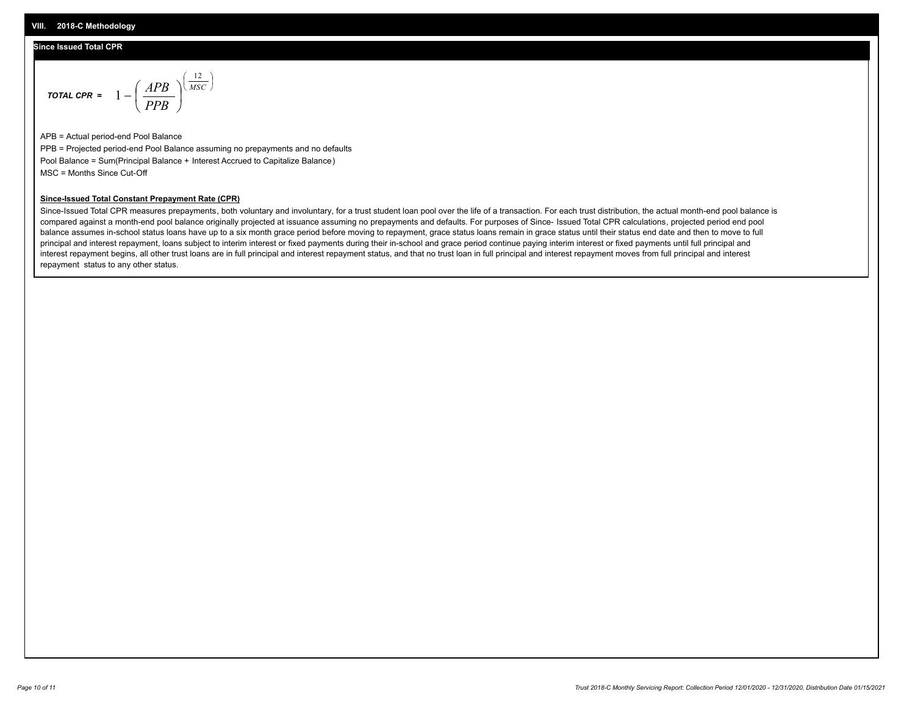## **Since Issued Total CPR**

$$
\text{total CPR} = 1 - \left(\frac{APB}{PPB}\right)^{\left(\frac{12}{MSC}\right)}
$$

APB = Actual period-end Pool Balance PPB = Projected period-end Pool Balance assuming no prepayments and no defaults Pool Balance = Sum(Principal Balance + Interest Accrued to Capitalize Balance) MSC = Months Since Cut-Off

### **Since-Issued Total Constant Prepayment Rate (CPR)**

Since-Issued Total CPR measures prepayments, both voluntary and involuntary, for a trust student loan pool over the life of a transaction. For each trust distribution, the actual month-end pool balance is compared against a month-end pool balance originally projected at issuance assuming no prepayments and defaults. For purposes of Since- Issued Total CPR calculations, projected period end pool balance assumes in-school status loans have up to a six month grace period before moving to repayment, grace status loans remain in grace status until their status end date and then to move to full principal and interest repayment, loans subject to interim interest or fixed payments during their in-school and grace period continue paying interim interest or fixed payments until full principal and interest repayment begins, all other trust loans are in full principal and interest repayment status, and that no trust loan in full principal and interest repayment moves from full principal and interest repayment status to any other status.